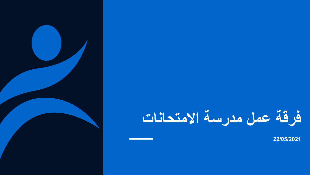## **فرقة عمل مدرسة االمتحانات**

**22/05/2021**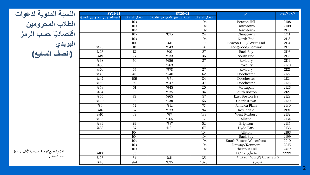| النسبة المئوية لدعوات |
|-----------------------|
| الطلاب المحرومين      |
| اقتصاديًا حسب الرمز   |
| البريدي               |
| (الصف السابع)         |

| <b>SY21-22</b>                    |                 | SY20-21                           |                      | حى                                 | الرمز البريدي |  |
|-----------------------------------|-----------------|-----------------------------------|----------------------|------------------------------------|---------------|--|
| نسبة المدعوين المحرومين اقتصاديًأ | إجمالى الدعوات  | نسبة المدعوين المحرومين افتصاديًأ | إجمالي الدعوات       |                                    |               |  |
|                                   | 10<             |                                   | 10<                  | Beacon Hill                        | 2108          |  |
|                                   | 10<             |                                   | 10<                  | Downtown                           | 2109          |  |
|                                   | 10<             |                                   | 10<                  | Downtown                           | 2110          |  |
|                                   | 10 >            | %75                               | 24                   | Chinatown                          | 2111          |  |
|                                   | 10<             |                                   | 10<                  | North End                          | 2113          |  |
|                                   | 10 >            | %11                               | 19                   | Beacon Hill / West End             | 2114          |  |
| %20                               | 10              | %43                               | 14                   | Longwood/Fenway                    | 2115          |  |
| %23                               | 13              | %0                                | $\overline{27}$      | Back Bay                           | 2116          |  |
| %19                               | $\overline{27}$ | $\sqrt{333}$                      | $\overline{36}$      | South End                          | 2118          |  |
| %68                               | $\overline{50}$ | %56                               | $\overline{27}$      | Roxbury                            | 2119          |  |
| %55                               | 11              | %63                               | 16                   | Roxbury                            | 2120          |  |
| %76                               | 67              | %78                               | 27                   | Roxbury                            | 2121          |  |
| %48                               | 48              | %40                               | 62                   | Dorchester                         | 2122          |  |
| %47                               | 109             | %51                               | 84                   | Dorchester                         | 2124          |  |
| %59                               | 59              | %47                               | 47                   | Dorchester                         | 2125          |  |
| %53                               | 51              | %45                               | 20                   | Mattapan                           | 2126          |  |
| %34                               | $\overline{35}$ | %35                               | 34                   | South Boston                       | 2127          |  |
| %55                               | 75              | %65                               | 57<br>East Boston HS |                                    | 2128          |  |
| $\sqrt{820}$                      | 35              | %38                               | $\overline{56}$      | Charlestown                        | 2129          |  |
| %6                                | $\overline{54}$ | %12                               | 77                   | Jamaica Plain                      | 2130          |  |
| $\sqrt{816}$                      | 67              | %33                               | 94                   | Roslindale                         | 2131          |  |
| %10                               | 69              | %7                                | 133                  | West Roxbury                       | 2132          |  |
| %36                               | 11              | %65                               | 17                   | Allston                            | 2134          |  |
| %34                               | 29              | %37                               | 52                   | Brighton                           | 2135          |  |
| %33                               | 67              | %31                               | 67                   | Hyde Park                          | 2136          |  |
|                                   | 10<             |                                   | 10<                  | Allston                            | 2163          |  |
|                                   | 10<             |                                   | 10<                  | <b>Back Bay</b>                    | 2199          |  |
|                                   | 10<             |                                   | 10<                  | South Boston Waterfront            | 2210          |  |
|                                   | 10<             |                                   | 10<                  | Fenway/Kenmore                     | 2215          |  |
|                                   | 10<             |                                   | 10<                  | Chestnut Hill                      | 2467          |  |
| %100                              | $\overline{53}$ |                                   |                      | بلا مأوى / DCF                     | 9999          |  |
| %26                               | 34              | %11                               | $\overline{35}$      | الرموز البريدية لأقل من 10 دعوات * |               |  |
| %43                               | 974             | %35                               | 1025                 | المجموع                            |               |  |

*\** يتم تجميع الرموز البريدية ألقل من *10* دعوات معًا*.*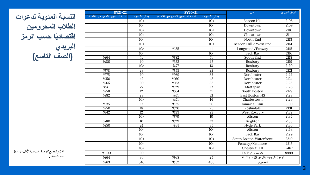| <b>SY21-22</b>                    |                 | <b>SY20-21</b>                     |                 | حى                                 | الرمز البريدي |
|-----------------------------------|-----------------|------------------------------------|-----------------|------------------------------------|---------------|
| نسبة المدعوين المحرومين اقتصاديًأ | إجمالى الدعوات  | نسبة المدعوين المحر ومبن اقتصاديًأ | إجمالي الدعوات  |                                    |               |
|                                   | 10<             |                                    | 10<             | <b>Beacon Hill</b>                 | 2108          |
|                                   | 10<             |                                    | 10<             | Downtown                           | 2109          |
|                                   | 10<             |                                    | 10<             | Downtown                           | 2110          |
|                                   | 10<             |                                    | 10<             | Chinatown                          | 2111          |
|                                   | 10<             |                                    | 10<             | North End                          | 2113          |
|                                   | 10<             |                                    | 10<             | Beacon Hill / West End             | 2114          |
|                                   | 10 >            | %55                                | 11              | Longwood/Fenway                    | 2115          |
|                                   | 10<             |                                    | 10<             | <b>Back Bay</b>                    | 2116          |
| %64                               | $\overline{11}$ | %82                                | $\overline{11}$ | South End                          | 2118          |
| %80                               | 20              | %52                                | $\overline{25}$ | Roxbury                            | 2119          |
|                                   | 10 >            | %77                                | $\overline{13}$ | Roxbury                            | 2120          |
| %78                               | 23              | %55                                | $\overline{22}$ | Roxbury                            | 2121          |
| %75                               | 20              | %69                                | 32              | Dorchester                         | 2122          |
| %50                               | 42              | %60                                | 43              | Dorchester                         | 2124          |
| %65                               | 20              | %63                                | $\overline{32}$ | Dorchester                         | 2125          |
| %41                               | $\overline{27}$ | $\sqrt{829}$                       | 17              | Mattapan                           | 2126          |
| %58                               | 12              | %64                                | 11              | South Boston                       | 2127          |
| %82                               | $\overline{28}$ | %71                                | $\overline{21}$ | East Boston HS                     | 2128          |
|                                   | 10 >            | %71                                | 14              | Charlestown                        | 2129          |
| %35                               | 17              | %35                                | 20              | Jamaica Plain                      | 2130          |
| %50                               | $\overline{18}$ | %20                                | $\overline{25}$ | Roslindale                         | 2131          |
| %42                               | 12              | %23                                | $\overline{22}$ | West Roxbury                       | 2132          |
|                                   | 10 >            | %70                                | 10              | Allston                            | 2134          |
| %80                               | 10              | %29                                | 17              | Brighton                           | 2135          |
| %50                               | $\overline{24}$ | %31                                | 35              | <b>Hyde Park</b>                   | 2136          |
|                                   | $\overline{10}$ |                                    | 10<             | Allston                            | 2163          |
|                                   | 10<             |                                    | 10<             | Back Bay                           | 2199          |
|                                   | 10<             |                                    | 10<             | South Boston Waterfront            | 2210          |
|                                   | 10<             |                                    | 10<             | Fenway/Kenmore                     | 2215          |
|                                   | 10<             |                                    | 10<             | <b>Chestnut Hill</b>               | 2467          |
| %100                              | 20              |                                    |                 | بلا مأوى / DCF                     | 9999          |
| %64                               | 36              | %68                                | 25              | الرموز البريدية لأقل من 10 دعوات * |               |
| %63                               | 340             | %52                                | 406             | المجموع                            |               |

**النسبة المئوية لدعوات الطالب المحرومين اقتصاديًا حسب الرمز البريدي )الصف التاسع(**

*\** يتم تجميع الرموز البريدية ألقل من *10* دعوات معًا*.*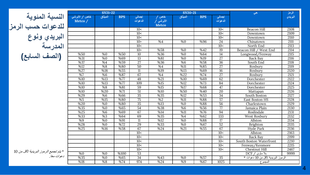**النسبة المئوية للدعوات حسب الرمز البريدي ونوع المدرسة الصف السابع( (**

|                          | <b>SY21-22</b>   |                   |                   |                                  | <b>SY20-21</b>   |              |                   | حی                                 | الرمز   |
|--------------------------|------------------|-------------------|-------------------|----------------------------------|------------------|--------------|-------------------|------------------------------------|---------|
| خاص / الأبرشي<br>Metco / | الميثاق          | <b>BPS</b>        | إجمالى<br>الدعوات | خاص<br>الأبرشي /<br><b>Metco</b> | الميثاق          | <b>BPS</b>   | إجمالى<br>الدعوات |                                    | البريدي |
|                          |                  |                   | 10<               |                                  |                  |              | 10<               | <b>Beacon Hill</b>                 | 2108    |
|                          |                  |                   | 10<               |                                  |                  |              | 10<               | Downtown                           | 2109    |
|                          |                  |                   | 10<               |                                  |                  |              | 10<               | Downtown                           | 2110    |
|                          |                  |                   | 10 >              | %4                               | %0               | %96          | $\overline{24}$   | Chinatown                          | 2111    |
|                          |                  |                   | 10<               |                                  |                  |              | 10<               | North End                          | 2113    |
|                          |                  |                   | 10 >              | %58                              | %0               | %42          | 19                | Beacon Hill / West End             | 2114    |
| %50                      | %0               | %50               | 10                | %36                              | %0               | %64          | 14                | Longwood/Fenway                    | 2115    |
| %31                      | %0               | %69               | 13                | %81                              | %0               | %19          | $\overline{27}$   | Back Bay                           | 2116    |
| %37                      | $\sqrt{64}$      | %59               | $\overline{27}$   | %36                              | %6               | %58          | 36                | South End                          | 2118    |
| %12                      | $\sqrt{88}$      | %80               | 50                | $\sqrt{64}$                      | %11              | %85          | $\overline{27}$   | Roxbury                            | 2119    |
| %27                      | %18              | %55               | 11                | %19                              | %13              | %69          | $\overline{16}$   | Roxbury                            | 2120    |
| %7                       | $\overline{\%6}$ | %87               | 67                | $\sqrt{64}$                      | %22              | %74          | $\overline{27}$   | Roxbury                            | 2121    |
| %10                      | %13              | %77               | 48                | %21                              | %10              | %69          | 62                | Dorchester                         | 2122    |
| $\sqrt{810}$             | $\sqrt{813}$     | %77               | 109               | $\sqrt{815}$                     | $\sqrt{812}$     | %73          | 84                | Dorchester                         | 2124    |
| %10                      | %8               | %81               | 59                | %15                              | %17              | %68          | 47                | Dorchester                         | 2125    |
| %10                      | $\sqrt{820}$     | %71               | $\overline{51}$   | %10                              | %50              | %40          | $\overline{20}$   | Mattapan                           | 2126    |
| %29                      | %6               | %66               | $\overline{35}$   | $\sqrt{35}$                      | %12              | %53          | 34                | South Boston                       | 2127    |
| %5                       | %15              | %80               | $\overline{75}$   | $\sqrt{2}$                       | %11              | %88          | $\overline{57}$   | East Boston HS                     | 2128    |
| %20                      | %0               | %80               | $\overline{35}$   | %13                              | %0               | %88          | 56                | Charlestown                        | 2129    |
| %35                      | %0               | %65               | $\overline{54}$   | $\sqrt{38}$                      | $\overline{\%6}$ | %56          | 77                | Jamaica Plain                      | 2130    |
| %25                      | %6               | %69               | 67                | %14                              | %11              | %76          | 94                | Roslindale                         | 2131    |
| $\sqrt{333}$             | $\overline{\%3}$ | %64               | 69                | %35                              | $\sqrt{64}$      | %62          | 133               | West Roxbury                       | 2132    |
| %9                       | %0               | %91               | 11                | %12                              | %0               | %88          | 17                | Allston                            | 2134    |
| %28                      | $\sqrt{60}$      | %72               | 29                | $\sqrt{333}$                     | %0               | %67          | 52                | Brighton                           | 2135    |
| %25                      | %16              | $\frac{9658}{56}$ | 67                | %24                              | %21              | %55          | 67                | Hyde Park                          | 2136    |
|                          |                  |                   | 10<               |                                  |                  |              | 10<               | Allston                            | 2163    |
|                          |                  |                   | 10<               |                                  |                  |              | 10<               | <b>Back Bay</b>                    | 2199    |
|                          |                  |                   | 10<               |                                  |                  |              | 10<               | South Boston Waterfront            | 2210    |
|                          |                  |                   | 10<               |                                  |                  |              | 10<               | Fenway/Kenmore                     | 2215    |
|                          |                  |                   | 10<               |                                  |                  |              | 10<               | Chestnut Hill                      | 2467    |
| %0                       | %0               | %100              | 53                |                                  |                  |              |                   | بلا ماوی / DCF                     | 9999    |
| %35                      | $\overline{\%0}$ | %65               | 34                | %43                              | %0               | $\sqrt{657}$ | $\overline{35}$   | الرموز البريدية لأقل من 10 دعوات * |         |
| %18                      | %8               | %74               | 974               | %24                              | %9               | %67          | 1025              | المجموع                            |         |

دعوات معًا*. \** يتم تجميع الرموز البريدية ألقل من *<sup>10</sup>*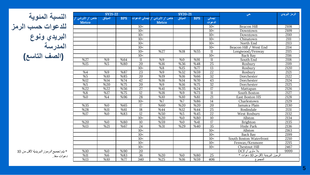| النسبة المئوية    |
|-------------------|
| للدعوات حسب الرمز |
| البريدي ونوع      |
| المدرسة           |
| (الصف التاسع)     |

|                 | <b>SY21-22</b> |            | <b>SY20-21</b><br>حى |                                |                           |            |                 | الرمز البريدى                      |      |
|-----------------|----------------|------------|----------------------|--------------------------------|---------------------------|------------|-----------------|------------------------------------|------|
| خاص / الأبرشي / | الميثاق        | <b>BPS</b> |                      | خاص / الأبرشي / إجمالي الدعوات | الميثاق                   | <b>BPS</b> | إجمالى          |                                    |      |
| <b>Metco</b>    |                |            |                      | Metco                          |                           |            | الدعوات         |                                    |      |
|                 |                |            | 10<                  |                                |                           |            | 10<             | <b>Beacon Hill</b>                 | 2108 |
|                 |                |            | 10<                  |                                |                           |            | 10<             | Downtown                           | 2109 |
|                 |                |            | 10<                  |                                |                           |            | 10<             | Downtown                           | 2110 |
|                 |                |            | $\overline{10}$      |                                |                           |            | 10<             | Chinatown                          | 2111 |
|                 |                |            | 10<                  |                                |                           |            | 10<             | North End                          | 2113 |
|                 |                |            | 10<                  |                                |                           |            | 10<             | Beacon Hill / West End             | 2114 |
|                 |                |            | 10 <sub>&gt;</sub>   | %27                            | %18                       | %55        | $\overline{11}$ | Longwood/Fenway                    | 2115 |
|                 |                |            | 10<                  |                                |                           |            | 10<             | Back Bay                           | 2116 |
| %27             | %9             | %64        | 11                   | %9                             | %0                        | %91        | 11              | South End                          | 2118 |
| %15             | %5             | %80        | 20                   | %16                            | %36                       | %48        | $\overline{25}$ | Roxbury                            | 2119 |
|                 |                |            | 10 >                 | $\sqrt{88}$                    | %15                       | %77        | $\overline{13}$ | Roxbury                            | 2120 |
| %4              | %9             | %87        | 23                   | %9                             | %32                       | %59        | 22              | Roxbury                            | 2121 |
| %5              | %10            | %85        | 20                   | %19                            | %16                       | %66        | 32              | Dorchester                         | 2122 |
| %12             | %14            | %74        | 42                   | %16                            | %14                       | %70        | 43              | Dorchester                         | 2124 |
| %5              | %20            | %75        | 20                   | %9                             | %16                       | %75        | $\overline{32}$ | Dorchester                         | 2125 |
| %22             | %22            | %56        | $\overline{27}$      | %41                            | %35                       | %24        | $\overline{17}$ | Mattapan                           | 2126 |
| $\sqrt{88}$     | $\sqrt{817}$   | %75        | $\overline{12}$      | %18                            | $\sqrt{9}$                | %73        | $\overline{11}$ | South Boston                       | 2127 |
| %0              | %4             | %96        | 28                   | %10                            | %10                       | %81        | $\overline{21}$ | East Boston HS                     | 2128 |
|                 |                |            | 10 >                 | $\overline{\frac{9}{67}}$      | $\overline{\frac{967}{}}$ | %86        | $\overline{14}$ | Charlestown                        | 2129 |
| %35             | %0             | %65        | 17                   | %60                            | %20                       | %20        | 20              | Jamaica Plain                      | 2130 |
| %28             | $\sqrt{811}$   | %61        | $\overline{18}$      | %44                            | $\sqrt{812}$              | %44        | 25              | Roslindale                         | 2131 |
| %17             | %0             | %83        | $\overline{12}$      | %50                            | %5                        | %45        | $\overline{22}$ | West Roxbury                       | 2132 |
|                 |                |            | 10 <sub>&gt;</sub>   | %20                            | %0                        | %80        | 10              | Allston                            | 2134 |
| %20             | %0             | %80        | 10                   | %59                            | %0                        | %41        | $\overline{17}$ | Brighton                           | 2135 |
| $\sqrt{813}$    | %21            | %67        | $\overline{24}$      | $\sqrt{831}$                   | %29                       | %40        | $\overline{35}$ | Hyde Park                          | 2136 |
|                 |                |            | $\overline{10}$      |                                |                           |            | 10<             | Allston                            | 2163 |
|                 |                |            | 10<                  |                                |                           |            | 10<             | <b>Back Bav</b>                    | 2199 |
|                 |                |            | 10<                  |                                |                           |            | 10<             | South Boston Waterfront            | 2210 |
|                 |                |            | 10<                  |                                |                           |            | 10<             | Fenway/Kenmore                     | 2215 |
|                 |                |            | 10<                  |                                |                           |            | 10<             | Chestnut Hill                      | 2467 |
| %10             | %0             | %90        | 20                   |                                |                           |            |                 | بلا مأوى / DCF                     | 9999 |
| %11             | %6             | %83        | 36                   | %20                            | %0                        | %80        | 25              | الرموز البريدية لأقل من 10 دعوات * |      |
| %13             | %10            | %77        | 340                  | %25                            | %16                       | %59        | 406             | المجموع                            |      |

*\** يتم تجميع الرموز البريدية ألقل من *10* دعوات معًا*.*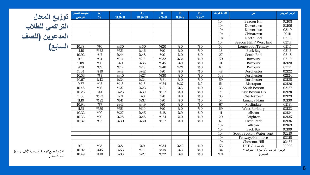| توزيع المعدل    |
|-----------------|
| التراكمي للطلاب |
| المدعوين (للصف  |
| السابع)         |

| متوسط المعدل<br>التراكمي | $A^+$<br>12               | r.<br>$11.9 - 11$ | $A-$<br>$10.9 - 10$ | $B+$<br>$9.9 - 9$ | B<br>$8.9 - 8$   | $B-$<br>$7.9 - 7$ | # الدعوات       | حى                                 | الرمز البريدي |
|--------------------------|---------------------------|-------------------|---------------------|-------------------|------------------|-------------------|-----------------|------------------------------------|---------------|
|                          |                           |                   |                     |                   |                  |                   | 10<             | Beacon Hill                        | 02108         |
|                          |                           |                   |                     |                   |                  |                   | 10<             | Downtown                           | 02109         |
|                          |                           |                   |                     |                   |                  |                   | 10<             | Downtown                           | 02110         |
|                          |                           |                   |                     |                   |                  |                   | 10<             | Chinatown                          | 02111         |
|                          |                           |                   |                     |                   |                  |                   | 10<             | North End                          | 02113         |
|                          |                           |                   |                     |                   |                  |                   | 10<             | Beacon Hill / West End             | 02114         |
| 10.38                    | %0                        | %30               | %50                 | %20               | %0               | $\sqrt{60}$       | 10              | Longwood/Fenway                    | 02115         |
| 11.10                    | %23                       | %31               | %46                 | %0                | %0               | %0                | 13              | Back Bay                           | 02116         |
| 10.92                    | $\overline{\frac{9}{67}}$ | %44               | %48                 | %0                | $\overline{\%0}$ | $\sqrt{60}$       | $\overline{27}$ | South End                          | 02118         |
| 9.51                     | %4                        | %14               | %16                 | %32               | %34              | $\overline{\%0}$  | 50              | Roxbury                            | 02119         |
| 9.89                     | %0                        | %9                | %36                 | %45               | %9               | %0                | 11              | Roxbury                            | 02120         |
| 9.79                     | %9                        | %12               | %18                 | %40               | %21              | %0                | 67              | Roxbury                            | 02121         |
| 11.04                    | %10                       | %48               | %42                 | %0                | %0               | %0                | 48              | Dorchester                         | 02122         |
| 10.53                    | $\overline{\%3}$          | %40               | $\sqrt{827}$        | %30               | %0               | %0                | 109             | Dorchester                         | 02124         |
| 10.67                    | %12                       | %34               | %24                 | %31               | %0               | %0                | 59              | Dorchester                         | 02125         |
| 9.57                     | %2                        | %18               | %18                 | %24               | %37              | %2                | $\overline{51}$ | Mattapan                           | 02126         |
| 10.48                    | $\overline{\%6}$          | %37               | %23                 | %31               | $\overline{\%3}$ | %0                | $\overline{35}$ | South Boston                       | 02127         |
| 10.25                    | %1                        | %23               |                     | %37               | %0               | %0                | $\overline{75}$ | East Boston HS                     | 02128         |
| 11.56                    | %23                       | %74               | %3                  | %0                | %0               | %0                | $\overline{35}$ | Charlestown                        | 02129         |
| 11.19                    | %22                       | %41               | %37                 | %0                | %0               | %0                | $\overline{54}$ | Jamaica Plain                      | 02130         |
| 10.94                    | %7                        | %43               | %49                 | %0                | %0               | %0                | 67              | Roslindale                         | 02131         |
| 11.51                    | %39                       | %51               | %10                 | %0                | $\sqrt{60}$      | %0                | 69              | West Roxbury                       | 02132         |
| 10.32                    | %0                        | %27               | %45                 | %18               | %9               | %0                | 11              | Allston                            | 02134         |
| 10.36                    | %0                        | %28               | %48                 | %24               | %0               | %0                | 29              | Brighton                           | 02135         |
| 10.32                    | %3                        | %30               | %30                 | %37               | %0               | %0                | $\overline{67}$ | Hyde Park                          | 02136         |
|                          |                           |                   |                     |                   |                  |                   | 10<             | Allston                            | 02163         |
|                          |                           |                   |                     |                   |                  |                   | 10<             | <b>Back Bav</b>                    | 02199         |
|                          |                           |                   |                     |                   |                  |                   | 10<             | South Boston Waterfront            | 02210         |
|                          |                           |                   |                     |                   |                  |                   | 10<             | Fenway/Kenmore                     | 02215         |
|                          |                           |                   |                     |                   |                  |                   | 10<             | Chestnut Hill                      | 02467         |
| 9.31                     | %8                        | %8                | %9                  | %34               | %42              | %0                | 53              | بلا مأوى / DCF                     | 99999         |
| 10.92                    | %15                       | %53               | %12                 | %18               | %3               | %0                | 34              | الرموز البريدية لأقل من 10 دعوات * |               |
| 10.49                    | %10                       | %33               | %27                 | %22               | %8               | $\overline{\%}0$  | 974             | المجموع                            |               |

دعوات معًا*. \** يتم تجميع الرموز البريدية ألقل من *<sup>10</sup>*